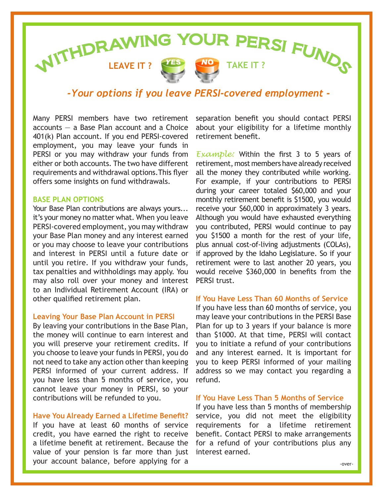# **LEAVE IT ? TAKE IT ? AND REAVELY ? CANCE TAKE IT ? CANCER BY FUNCS**







# *-Your options if you leave PERSI-covered employment -*

Many PERSI members have two retirement accounts — a Base Plan account and a Choice 401(k) Plan account. If you end PERSI-covered employment, you may leave your funds in PERSI or you may withdraw your funds from either or both accounts. The two have different requirements and withdrawal options.This flyer offers some insights on fund withdrawals.

### **BASE PLAN OPTIONS**

Your Base Plan contributions are always yours... it's your money no matter what. When you leave PERSI-covered employment, you may withdraw your Base Plan money and any interest earned or you may choose to leave your contributions and interest in PERSI until a future date or until you retire. If you withdraw your funds, tax penalties and withholdings may apply. You may also roll over your money and interest to an Individual Retirement Account (IRA) or other qualified retirement plan.

### **Leaving Your Base Plan Account in PERSI**

By leaving your contributions in the Base Plan, the money will continue to earn interest and you will preserve your retirement credits. If you choose to leave your funds in PERSI, you do not need to take any action other than keeping PERSI informed of your current address. If you have less than 5 months of service, you cannot leave your money in PERSI, so your contributions will be refunded to you.

### **Have You Already Earned a Lifetime Benefit?**

If you have at least 60 months of service credit, you have earned the right to receive a lifetime benefit at retirement. Because the value of your pension is far more than just your account balance, before applying for a

separation benefit you should contact PERSI about your eligibility for a lifetime monthly retirement benefit.

*Example:* Within the first 3 to 5 years of retirement, most members have already received all the money they contributed while working. For example, if your contributions to PERSI during your career totaled \$60,000 and your monthly retirement benefit is \$1500, you would receive your \$60,000 in approximately 3 years. Although you would have exhausted everything you contributed, PERSI would continue to pay you \$1500 a month for the rest of your life, plus annual cost-of-living adjustments (COLAs), if approved by the Idaho Legislature. So if your retirement were to last another 20 years, you would receive \$360,000 in benefits from the PERSI trust.

## **If You Have Less Than 60 Months of Service**

If you have less than 60 months of service, you may leave your contributions in the PERSI Base Plan for up to 3 years if your balance is more than \$1000. At that time, PERSI will contact you to initiate a refund of your contributions and any interest earned. It is important for you to keep PERSI informed of your mailing address so we may contact you regarding a refund.

### **If You Have Less Than 5 Months of Service**

If you have less than 5 months of membership service, you did not meet the eligibility requirements for a lifetime retirement benefit. Contact PERSI to make arrangements for a refund of your contributions plus any interest earned.